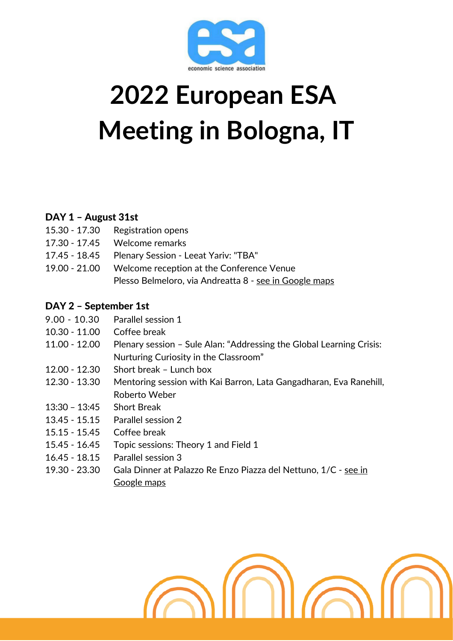

# **2022 European ESA Meeting in Bologna, IT**

## DAY 1 – August 31st

| 15.30 - 17.30 Registration opens                        |
|---------------------------------------------------------|
| 17.30 - 17.45 Welcome remarks                           |
| 17.45 - 18.45 Plenary Session - Leeat Yariv: "TBA"      |
| 19.00 - 21.00 Welcome reception at the Conference Venue |
| Plesso Belmeloro, via Andreatta 8 - see in Google maps  |

## DAY 2 – September 1st

| $9.00 - 10.30$  | Parallel session 1                                                   |
|-----------------|----------------------------------------------------------------------|
| $10.30 - 11.00$ | Coffee break                                                         |
| $11.00 - 12.00$ | Plenary session - Sule Alan: "Addressing the Global Learning Crisis: |
|                 | Nurturing Curiosity in the Classroom"                                |
| 12.00 - 12.30   | Short break - Lunch box                                              |
| 12.30 - 13.30   | Mentoring session with Kai Barron, Lata Gangadharan, Eva Ranehill,   |
|                 | Roberto Weber                                                        |
| $13:30 - 13:45$ | <b>Short Break</b>                                                   |
| $13.45 - 15.15$ | Parallel session 2                                                   |
| $15.15 - 15.45$ | Coffee break                                                         |
| 15.45 - 16.45   | Topic sessions: Theory 1 and Field 1                                 |
| $16.45 - 18.15$ | Parallel session 3                                                   |
| 19.30 - 23.30   | Gala Dinner at Palazzo Re Enzo Piazza del Nettuno, 1/C - see in      |
|                 | Google maps                                                          |